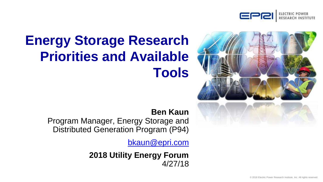

# **Energy Storage Research Priorities and Available Tools**



### **Ben Kaun**

Program Manager, Energy Storage and Distributed Generation Program (P94)

[bkaun@epri.com](mailto:bkaun@epri.com)

**2018 Utility Energy Forum** 4/27/18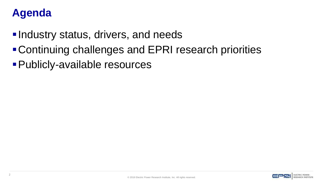# **Agenda**

- **-Industry status, drivers, and needs**
- ▪Continuing challenges and EPRI research priorities
- ▪Publicly-available resources

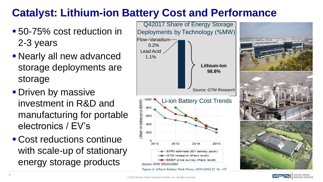# **Catalyst: Lithium-ion Battery Cost and Performance**

- 50-75% cost reduction in 2-3 years
- **Example 1 Nearly all new advanced** storage deployments are storage
- **Driven by massive** investment in R&D and manufacturing for portable electronics / EV's
- Cost reductions continue with scale-up of stationary energy storage products



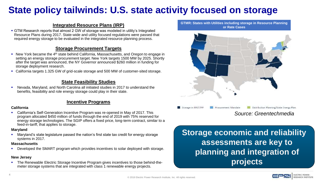# **State policy tailwinds: U.S. state activity focused on storage**

#### **Integrated Resource Plans (IRP)**

**• GTM Research reports that almost 2 GW of storage was modeled in utility's Integrated** Resource Plans during 2017. State-wide and utility focused regulations were passed that required energy storage to be evaluated in the integrated resource planning process.

#### **Storage Procurement Targets**

- New York became the 4<sup>th</sup> state behind California, Massachusetts, and Oregon to engage in setting an energy storage procurement target. New York targets 1500 MW by 2025. Shortly after the target was announced, the NY Governor announced \$260 million in funding for storage deployment research.
- California targets 1.325 GW of grid-scale storage and 500 MW of customer-sited storage.

#### **State Feasibility Studies**

Nevada, Maryland, and North Carolina all initiated studies in 2017 to understand the benefits, feasibility and role energy storage could play in their state.

#### **Incentive Programs**

#### **California**

▪ California's Self-Generation Incentive Program was re-opened in May of 2017. This program allocated \$450 million of funds through the end of 2019 with 75% reserved for energy storage technologies. The SGIP offers a fixed price, long-term contract, similar to a feed-in-tariff, that applies to storage.

#### **Maryland**

▪ Maryland's state legislature passed the nation's first state tax credit for energy storage systems in 2017.

#### **Massachusetts**

Developed the SMART program which provides incentives to solar deployed with storage.

#### **New Jersey**

The Renewable Electric Storage Incentive Program gives incentives to those behind-themeter storage systems that are integrated with class 1 renewable energy projects.

**GTMR: States with Utilities including storage in Resource Planning or Rate Cases**



*Source: Greentechmedia*

**Storage economic and reliability assessments are key to planning and integration of projects**

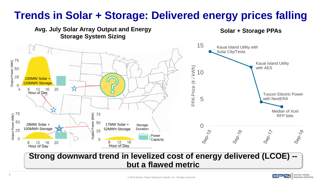# **Trends in Solar + Storage: Delivered energy prices falling**



### **Strong downward trend in levelized cost of energy delivered (LCOE) - but a flawed metric**

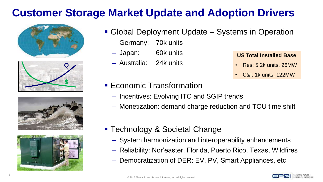# **Customer Storage Market Update and Adoption Drivers**









- **Global Deployment Update Systems in Operation** 
	- Germany: 70k units
	- Japan: 60k units
	- Australia: 24k units

#### **US Total Installed Base**

- Res: 5.2k units, 26MW
- C&I: 1k units, 122MW

- **Economic Transformation** 
	- Incentives: Evolving ITC and SGIP trends
	- Monetization: demand charge reduction and TOU time shift
- Technology & Societal Change
	- System harmonization and interoperability enhancements
	- Reliability: Nor'easter, Florida, Puerto Rico, Texas, Wildfires
	- Democratization of DER: EV, PV, Smart Appliances, etc.

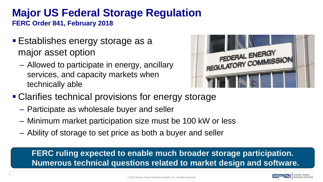# **Major US Federal Storage Regulation**

**FERC Order 841, February 2018**

- Establishes energy storage as a major asset option
	- Allowed to participate in energy, ancillary services, and capacity markets when technically able



- Clarifies technical provisions for energy storage
	- Participate as wholesale buyer and seller
	- Minimum market participation size must be 100 kW or less
	- Ability of storage to set price as both a buyer and seller

**FERC ruling expected to enable much broader storage participation. Numerous technical questions related to market design and software.**

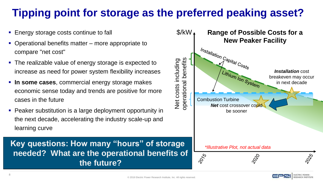# **Tipping point for storage as the preferred peaking asset?**

- Energy storage costs continue to fall
- Operational benefits matter more appropriate to compare "net cost"
- The realizable value of energy storage is expected to increase as need for power system flexibility increases
- **In some cases**, commercial energy storage makes economic sense today and trends are positive for more cases in the future
- Peaker substitution is a large deployment opportunity in the next decade, accelerating the industry scale-up and learning curve

**Key questions: How many "hours" of storage needed? What are the operational benefits of the future?**

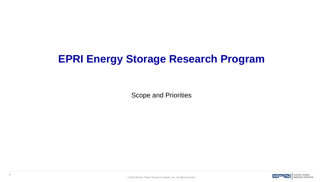# **EPRI Energy Storage Research Program**

Scope and Priorities

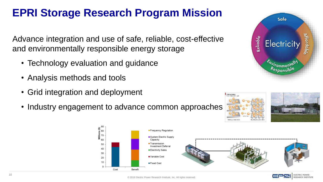# **EPRI Storage Research Program Mission**

Advance integration and use of safe, reliable, cost-effective and environmentally responsible energy storage

- Technology evaluation and guidance
- Analysis methods and tools
- Grid integration and deployment
- Industry engagement to advance common approaches







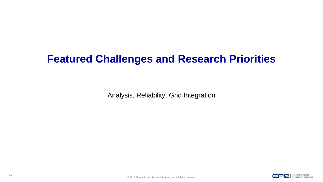# **Featured Challenges and Research Priorities**

Analysis, Reliability, Grid Integration

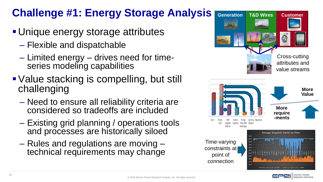# **Challenge #1: Energy Storage Analysis**

- **Unique energy storage attributes** 
	- Flexible and dispatchable
	- Limited energy drives need for timeseries modeling capabilities
- Value stacking is compelling, but still challenging
	- Need to ensure all reliability criteria are considered so tradeoffs are included
	- Existing grid planning / operations tools and processes are historically siloed
	- Rules and regulations are moving technical requirements may change



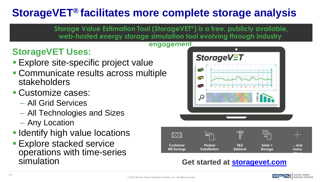# **StorageVET® facilitates more complete storage analysis**

**Storage Value Estimation Tool (StorageVET®) is a free, publicly available, web-hosted energy storage simulation tool evolving through industry** 

#### **engagement**

# **StorageVET Uses:**

- **Explore site-specific project value**
- **Communicate results across multiple** stakeholders

# **• Customize cases:**

- All Grid Services
- All Technologies and Sizes
- Any Location
- **Eldentify high value locations**
- **Explore stacked service** operations with time-series simulation





### **Get started at [storagevet.com](http://www.storagevet.com/)**

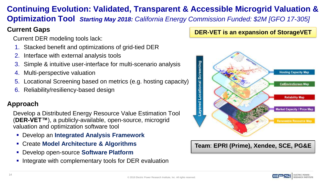# **Continuing Evolution: Validated, Transparent & Accessible Microgrid Valuation &**

**Optimization Tool** *Starting May 2018: California Energy Commission Funded: \$2M [GFO 17-305]* 

### **Current Gaps**

Current DER modeling tools lack:

- 1. Stacked benefit and optimizations of grid-tied DER
- Interface with external analysis tools
- 3. Simple & intuitive user-interface for multi-scenario analysis
- 4. Multi-perspective valuation
- 5. Locational Screening based on metrics (e.g. hosting capacity)
- 6. Reliability/resiliency-based design

### **Approach**

Develop a Distributed Energy Resource Value Estimation Tool (**DER-VET™**), a publicly-available, open-source, microgrid valuation and optimization software tool

- Develop an **Integrated Analysis Framework**
- Create **Model Architecture & Algorithms**
- Develop open-source **Software Platform**
- Integrate with complementary tools for DER evaluation

### **DER-VET is an expansion of StorageVET**



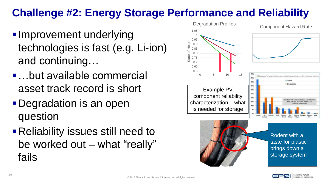# **Challenge #2: Energy Storage Performance and Reliability**

- **Improvement underlying** technologies is fast (e.g. Li-ion) and continuing…
- …but available commercial asset track record is short
- **Degradation is an open** question
- Reliability issues still need to be worked out – what "really" fails

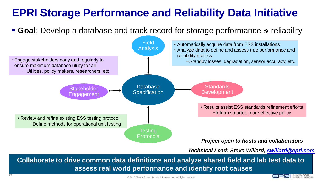# **EPRI Storage Performance and Reliability Data Initiative**

▪ **Goal**: Develop a database and track record for storage performance & reliability



*Technical Lead: Steve Willard, [swillard@epri.com](mailto:swillard@epri.com)*

**Collaborate to drive common data definitions and analyze shared field and lab test data to assess real world performance and identify root causes**

16

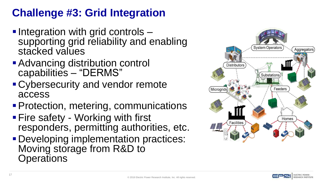# **Challenge #3: Grid Integration**

- **. Integration with grid controls** supporting grid reliability and enabling stacked values
- Advancing distribution control capabilities – "DERMS"
- Cybersecurity and vendor remote access
- Protection, metering, communications
- **Fire safety Working with first** responders, permitting authorities, etc.
- **Developing implementation practices:** Moving storage from R&D to **Operations**



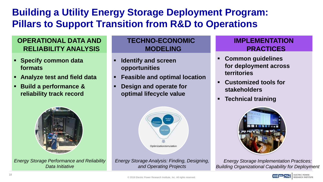# **Building a Utility Energy Storage Deployment Program: Pillars to Support Transition from R&D to Operations**

### **OPERATIONAL DATA AND RELIABILITY ANALYSIS**

- **Specify common data formats**
- **Analyze test and field data**
- **Build a performance & reliability track record**



*Energy Storage Performance and Reliability Data Initiative*

### **TECHNO-ECONOMIC MODELING**

- **Identify and screen opportunities**
- **Feasible and optimal location**
- **Design and operate for optimal lifecycle value**



*Energy Storage Analysis: Finding, Designing, and Operating Projects*

### **IMPLEMENTATION PRACTICES**

- **Common guidelines for deployment across territories**
- **Customized tools for stakeholders**
- **Technical training**



*Energy Storage Implementation Practices: Building Organizational Capability for Deployment*

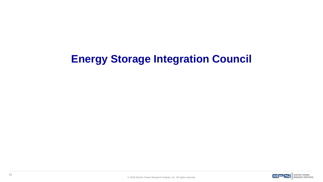# **Energy Storage Integration Council**

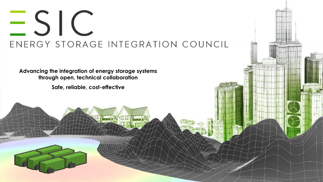# $\leq$  SIC ENERGY STORAGE INTEGRATION COUNCIL

U TANK U U TANK U

 $\mathcal{T} = \mathcal{T} = \mathcal{P} = \mathcal{P}$  . All rights reserved.

**Advancing the integration of energy storage systems through open, technical collaboration**

**Safe, reliable, cost-effective**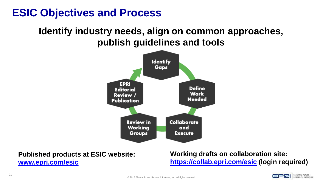# **ESIC Objectives and Process**

## **Identify industry needs, align on common approaches, publish guidelines and tools**



**Published products at ESIC website: [www.epri.com/esic](http://www.epri.com/esic)**

**Working drafts on collaboration site: <https://collab.epri.com/esic> (login required)**

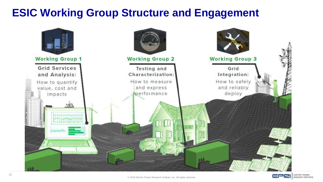# **ESIC Working Group Structure and Engagement**





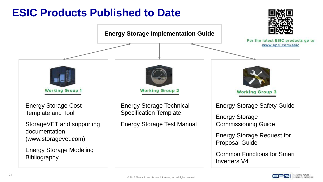# **ESIC Products Published to Date**



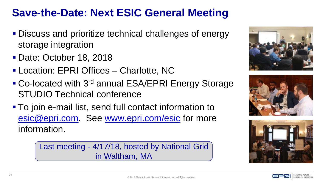# **Save-the-Date: Next ESIC General Meeting**

- Discuss and prioritize technical challenges of energy storage integration
- Date: October 18, 2018
- Location: EPRI Offices Charlotte, NC
- Co-located with 3<sup>rd</sup> annual ESA/EPRI Energy Storage STUDIO Technical conference
- To join e-mail list, send full contact information to [esic@epri.com](mailto:esic@epri.com). See [www.epri.com/esic](http://www.epri.com/esic) for more information.

Last meeting - 4/17/18, hosted by National Grid in Waltham, MA







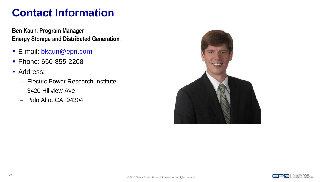# **Contact Information**

**Ben Kaun, Program Manager Energy Storage and Distributed Generation**

- **E-mail: [bkaun@epri.com](mailto:bkaun@epri.com)**
- Phone: 650-855-2208
- Address:
	- Electric Power Research Institute
	- 3420 Hillview Ave
	- Palo Alto, CA 94304